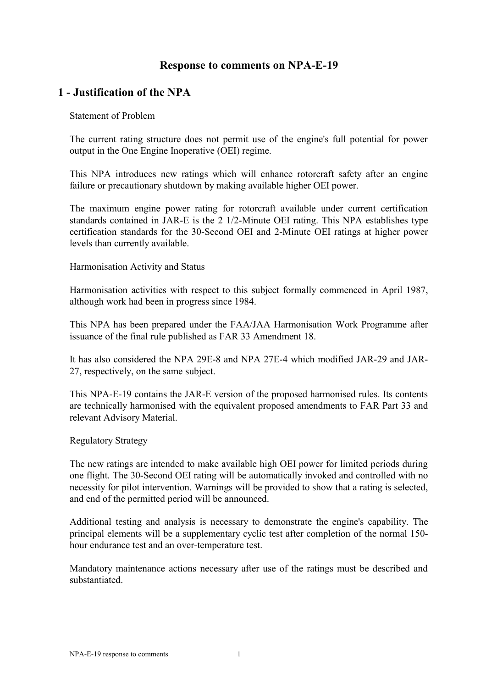## **Response to comments on NPA-E-19**

# **1 - Justification of the NPA**

### Statement of Problem

The current rating structure does not permit use of the engine's full potential for power output in the One Engine Inoperative (OEI) regime.

This NPA introduces new ratings which will enhance rotorcraft safety after an engine failure or precautionary shutdown by making available higher OEI power.

The maximum engine power rating for rotorcraft available under current certification standards contained in JAR-E is the 2 1/2-Minute OEI rating. This NPA establishes type certification standards for the 30-Second OEI and 2-Minute OEI ratings at higher power levels than currently available.

### Harmonisation Activity and Status

Harmonisation activities with respect to this subject formally commenced in April 1987, although work had been in progress since 1984.

This NPA has been prepared under the FAA/JAA Harmonisation Work Programme after issuance of the final rule published as FAR 33 Amendment 18.

It has also considered the NPA 29E-8 and NPA 27E-4 which modified JAR-29 and JAR-27, respectively, on the same subject.

This NPA-E-19 contains the JAR-E version of the proposed harmonised rules. Its contents are technically harmonised with the equivalent proposed amendments to FAR Part 33 and relevant Advisory Material.

#### Regulatory Strategy

The new ratings are intended to make available high OEI power for limited periods during one flight. The 30-Second OEI rating will be automatically invoked and controlled with no necessity for pilot intervention. Warnings will be provided to show that a rating is selected, and end of the permitted period will be announced.

Additional testing and analysis is necessary to demonstrate the engine's capability. The principal elements will be a supplementary cyclic test after completion of the normal 150 hour endurance test and an over-temperature test.

Mandatory maintenance actions necessary after use of the ratings must be described and substantiated.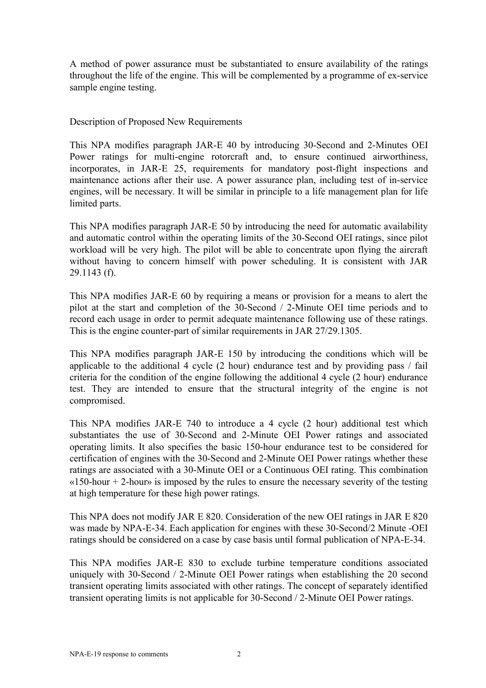A method of power assurance must be substantiated to ensure availability of the ratings throughout the life of the engine. This will be complemented by a programme of ex-service sample engine testing.

Description of Proposed New Requirements

This NPA modifies paragraph JAR-E 40 by introducing 30-Second and 2-Minutes OEI Power ratings for multi-engine rotorcraft and, to ensure continued airworthiness, incorporates, in JAR-E 25, requirements for mandatory post-flight inspections and maintenance actions after their use. A power assurance plan, including test of in-service engines, will be necessary. It will be similar in principle to a life management plan for life limited parts.

This NPA modifies paragraph JAR-E 50 by introducing the need for automatic availability and automatic control within the operating limits of the 30-Second OEI ratings, since pilot workload will be very high. The pilot will be able to concentrate upon flying the aircraft without having to concern himself with power scheduling. It is consistent with JAR 29.1143 (f).

This NPA modifies JAR-E 60 by requiring a means or provision for a means to alert the pilot at the start and completion of the 30-Second / 2-Minute OEI time periods and to record each usage in order to permit adequate maintenance following use of these ratings. This is the engine counter-part of similar requirements in JAR 27/29.1305.

This NPA modifies paragraph JAR-E 150 by introducing the conditions which will be applicable to the additional 4 cycle (2 hour) endurance test and by providing pass / fail criteria for the condition of the engine following the additional 4 cycle (2 hour) endurance test. They are intended to ensure that the structural integrity of the engine is not compromised.

This NPA modifies JAR-E 740 to introduce a 4 cycle (2 hour) additional test which substantiates the use of 30-Second and 2-Minute OEI Power ratings and associated operating limits. It also specifies the basic 150-hour endurance test to be considered for certification of engines with the 30-Second and 2-Minute OEI Power ratings whether these ratings are associated with a 30-Minute OEI or a Continuous OEI rating. This combination  $\ll 150$ -hour + 2-hour» is imposed by the rules to ensure the necessary severity of the testing at high temperature for these high power ratings.

This NPA does not modify JAR E 820. Consideration of the new OEI ratings in JAR E 820 was made by NPA-E-34. Each application for engines with these 30-Second/2 Minute -OEI ratings should be considered on a case by case basis until formal publication of NPA-E-34.

This NPA modifies JAR-E 830 to exclude turbine temperature conditions associated uniquely with 30-Second / 2-Minute OEI Power ratings when establishing the 20 second transient operating limits associated with other ratings. The concept of separately identified transient operating limits is not applicable for 30-Second / 2-Minute OEI Power ratings.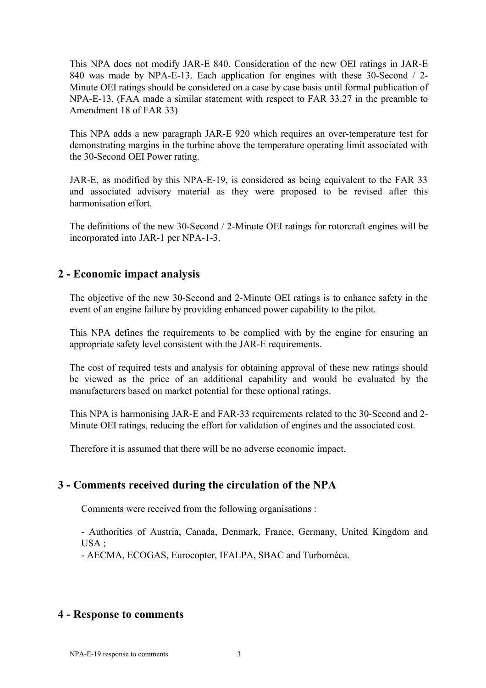This NPA does not modify JAR-E 840. Consideration of the new OEI ratings in JAR-E 840 was made by NPA-E-13. Each application for engines with these 30-Second / 2- Minute OEI ratings should be considered on a case by case basis until formal publication of NPA-E-13. (FAA made a similar statement with respect to FAR 33.27 in the preamble to Amendment 18 of FAR 33)

This NPA adds a new paragraph JAR-E 920 which requires an over-temperature test for demonstrating margins in the turbine above the temperature operating limit associated with the 30-Second OEI Power rating.

JAR-E, as modified by this NPA-E-19, is considered as being equivalent to the FAR 33 and associated advisory material as they were proposed to be revised after this harmonisation effort.

The definitions of the new 30-Second / 2-Minute OEI ratings for rotorcraft engines will be incorporated into JAR-1 per NPA-1-3.

# **2 - Economic impact analysis**

The objective of the new 30-Second and 2-Minute OEI ratings is to enhance safety in the event of an engine failure by providing enhanced power capability to the pilot.

This NPA defines the requirements to be complied with by the engine for ensuring an appropriate safety level consistent with the JAR-E requirements.

The cost of required tests and analysis for obtaining approval of these new ratings should be viewed as the price of an additional capability and would be evaluated by the manufacturers based on market potential for these optional ratings.

This NPA is harmonising JAR-E and FAR-33 requirements related to the 30-Second and 2- Minute OEI ratings, reducing the effort for validation of engines and the associated cost.

Therefore it is assumed that there will be no adverse economic impact.

## **3 - Comments received during the circulation of the NPA**

Comments were received from the following organisations :

- Authorities of Austria, Canada, Denmark, France, Germany, United Kingdom and  $USA$ 

- AECMA, ECOGAS, Eurocopter, IFALPA, SBAC and Turboméca.

## **4 - Response to comments**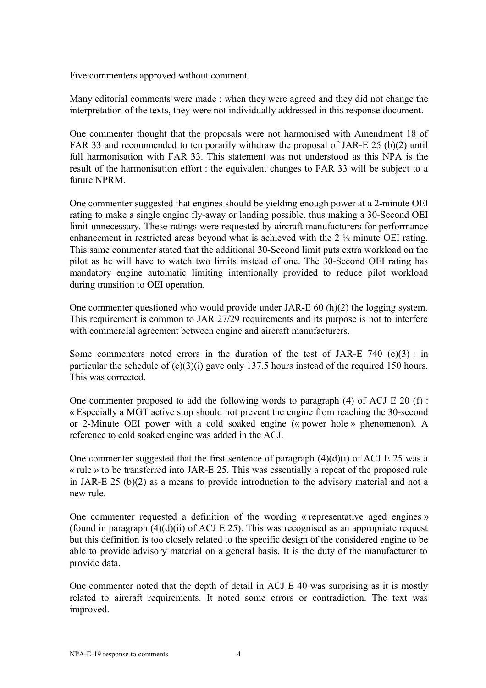Five commenters approved without comment.

Many editorial comments were made : when they were agreed and they did not change the interpretation of the texts, they were not individually addressed in this response document.

One commenter thought that the proposals were not harmonised with Amendment 18 of FAR 33 and recommended to temporarily withdraw the proposal of JAR-E 25 (b)(2) until full harmonisation with FAR 33. This statement was not understood as this NPA is the result of the harmonisation effort : the equivalent changes to FAR 33 will be subject to a future NPRM.

One commenter suggested that engines should be yielding enough power at a 2-minute OEI rating to make a single engine fly-away or landing possible, thus making a 30-Second OEI limit unnecessary. These ratings were requested by aircraft manufacturers for performance enhancement in restricted areas beyond what is achieved with the 2 ½ minute OEI rating. This same commenter stated that the additional 30-Second limit puts extra workload on the pilot as he will have to watch two limits instead of one. The 30-Second OEI rating has mandatory engine automatic limiting intentionally provided to reduce pilot workload during transition to OEI operation.

One commenter questioned who would provide under JAR-E 60 (h)(2) the logging system. This requirement is common to JAR 27/29 requirements and its purpose is not to interfere with commercial agreement between engine and aircraft manufacturers.

Some commenters noted errors in the duration of the test of JAR-E 740 (c)(3) : in particular the schedule of  $(c)(3)(i)$  gave only 137.5 hours instead of the required 150 hours. This was corrected.

One commenter proposed to add the following words to paragraph (4) of ACJ E 20 (f) : « Especially a MGT active stop should not prevent the engine from reaching the 30-second or 2-Minute OEI power with a cold soaked engine (« power hole » phenomenon). A reference to cold soaked engine was added in the ACJ.

One commenter suggested that the first sentence of paragraph  $(4)(d)(i)$  of ACJ E 25 was a « rule » to be transferred into JAR-E 25. This was essentially a repeat of the proposed rule in JAR-E 25 (b)(2) as a means to provide introduction to the advisory material and not a new rule.

One commenter requested a definition of the wording « representative aged engines » (found in paragraph  $(4)(d)(ii)$  of ACJ E 25). This was recognised as an appropriate request but this definition is too closely related to the specific design of the considered engine to be able to provide advisory material on a general basis. It is the duty of the manufacturer to provide data.

One commenter noted that the depth of detail in ACJ E 40 was surprising as it is mostly related to aircraft requirements. It noted some errors or contradiction. The text was improved.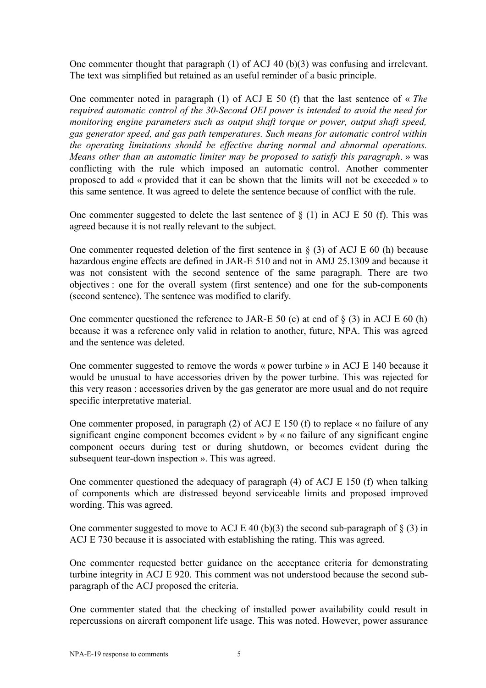One commenter thought that paragraph (1) of ACJ 40 (b)(3) was confusing and irrelevant. The text was simplified but retained as an useful reminder of a basic principle.

One commenter noted in paragraph (1) of ACJ E 50 (f) that the last sentence of « *The required automatic control of the 30-Second OEI power is intended to avoid the need for monitoring engine parameters such as output shaft torque or power, output shaft speed, gas generator speed, and gas path temperatures. Such means for automatic control within the operating limitations should be effective during normal and abnormal operations. Means other than an automatic limiter may be proposed to satisfy this paragraph*. » was conflicting with the rule which imposed an automatic control. Another commenter proposed to add « provided that it can be shown that the limits will not be exceeded » to this same sentence. It was agreed to delete the sentence because of conflict with the rule.

One commenter suggested to delete the last sentence of  $\S(1)$  in ACJ E 50 (f). This was agreed because it is not really relevant to the subject.

One commenter requested deletion of the first sentence in  $\S$  (3) of ACJ E 60 (h) because hazardous engine effects are defined in JAR-E 510 and not in AMJ 25.1309 and because it was not consistent with the second sentence of the same paragraph. There are two objectives : one for the overall system (first sentence) and one for the sub-components (second sentence). The sentence was modified to clarify.

One commenter questioned the reference to JAR-E 50 (c) at end of  $\S$  (3) in ACJ E 60 (h) because it was a reference only valid in relation to another, future, NPA. This was agreed and the sentence was deleted.

One commenter suggested to remove the words « power turbine » in ACJ E 140 because it would be unusual to have accessories driven by the power turbine. This was rejected for this very reason : accessories driven by the gas generator are more usual and do not require specific interpretative material.

One commenter proposed, in paragraph (2) of ACJ E 150 (f) to replace « no failure of any significant engine component becomes evident » by « no failure of any significant engine component occurs during test or during shutdown, or becomes evident during the subsequent tear-down inspection ». This was agreed.

One commenter questioned the adequacy of paragraph (4) of ACJ E 150 (f) when talking of components which are distressed beyond serviceable limits and proposed improved wording. This was agreed.

One commenter suggested to move to ACJ E 40 (b)(3) the second sub-paragraph of  $\S$  (3) in ACJ E 730 because it is associated with establishing the rating. This was agreed.

One commenter requested better guidance on the acceptance criteria for demonstrating turbine integrity in ACJ E 920. This comment was not understood because the second subparagraph of the ACJ proposed the criteria.

One commenter stated that the checking of installed power availability could result in repercussions on aircraft component life usage. This was noted. However, power assurance